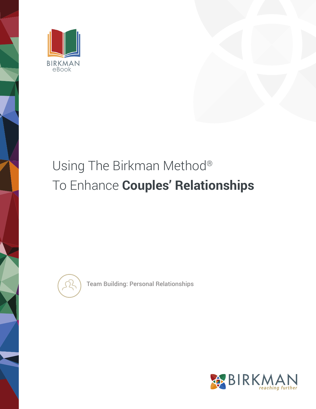

# Using The Birkman Method® To Enhance **Couples' Relationships**



Team Building: Personal Relationships

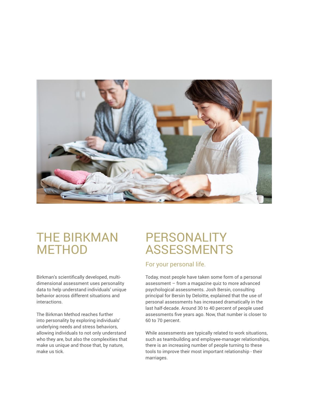

#### THE BIRKMAN **METHOD**

Birkman's scientifically developed, multidimensional assessment uses personality data to help understand individuals' unique behavior across different situations and interactions.

The Birkman Method reaches further into personality by exploring individuals' underlying needs and stress behaviors, allowing individuals to not only understand who they are, but also the complexities that make us unique and those that, by nature, make us tick.

## PERSONALITY ASSESSMENTS

#### For your personal life.

Today, most people have taken some form of a personal assessment – from a magazine quiz to more advanced psychological assessments. Josh Bersin, consulting principal for Bersin by Deloitte, explained that the use of personal assessments has increased dramatically in the last half-decade. Around 30 to 40 percent of people used assessments five years ago. Now, that number is closer to 60 to 70 percent.

While assessments are typically related to work situations, such as teambuilding and employee-manager relationships, there is an increasing number of people turning to these tools to improve their most important relationship - their marriages.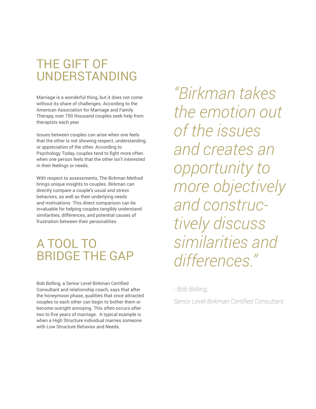## THE GIFT OF UNDERSTANDING

Marriage is a wonderful thing, but it does not come without its share of challenges. According to the American Association for Marriage and Family Therapy, over 750 thousand couples seek help from therapists each year.

Issues between couples can arise when one feels that the other is not showing respect, understanding, or appreciation of the other. According to Psychology Today, couples tend to fight more often when one person feels that the other isn't interested in their feelings or needs.

With respect to assessments, The Birkman Method brings unique insights to couples. Birkman can directly compare a couple's usual and stress behaviors, as well as their underlying needs and motivations. This direct comparison can be invaluable for helping couples tangibly understand similarities, differences, and potential causes of frustration between their personalities.

#### A TOOL TO BRIDGE THE GAP

Bob Bolling, a Senior Level Birkman Certified Consultant and relationship coach, says that after the honeymoon phase, qualities that once attracted couples to each other can begin to bother them or become outright annoying. This often occurs after two to five years of marriage. A typical example is when a High Structure individual marries someone with Low Structure Behavior and Needs.

*"Birkman takes the emotion out of the issues and creates an opportunity to more objectively and constructively discuss similarities and differences."* 

*- Bob Bolling,* 

*Senior Level Birkman Certified Consultant*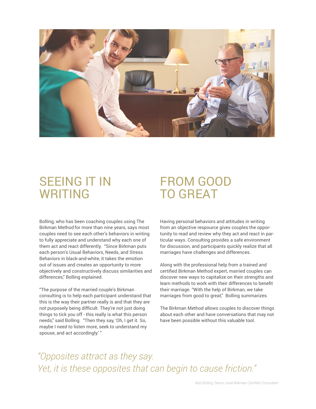

#### SEEING IT IN WRITING

#### Bolling, who has been coaching couples using The Birkman Method for more than nine years, says most couples need to see each other's behaviors in writing to fully appreciate and understand why each one of them act and react differently. "Since Birkman puts each person's Usual Behaviors, Needs, and Stress Behaviors in black-and-white, it takes the emotion out of issues and creates an opportunity to more objectively and constructively discuss similarities and differences," Bolling explained.

"The purpose of the married couple's Birkman consulting is to help each participant understand that this is the way their partner really is and that they are not purposely being difficult. They're not just doing things to tick you off - this really is what this person needs," said Bolling. "Then they say, 'Oh, I get it. So, maybe I need to listen more, seek to understand my spouse, and act accordingly.' "

## FROM GOOD TO GREAT

Having personal behaviors and attitudes in writing from an objective respource gives couples the opportunity to read and review why they act and react in particular ways. Consulting provides a safe environment for discussion, and participants quickly realize that all marriages have challenges and differences.

Along with the professional help from a trained and certified Birkman Method expert, married couples can discover new ways to capitalize on their strengths and learn methods to work with their differences to benefit their marriage. "With the help of Birkman, we take marriages from good to great," Bolling summarizes.

The Birkman Method allows couples to discover things about each other and have conversations that may not have been possible without this valuable tool.

*"Opposites attract as they say. Yet, it is these opposites that can begin to cause friction."*